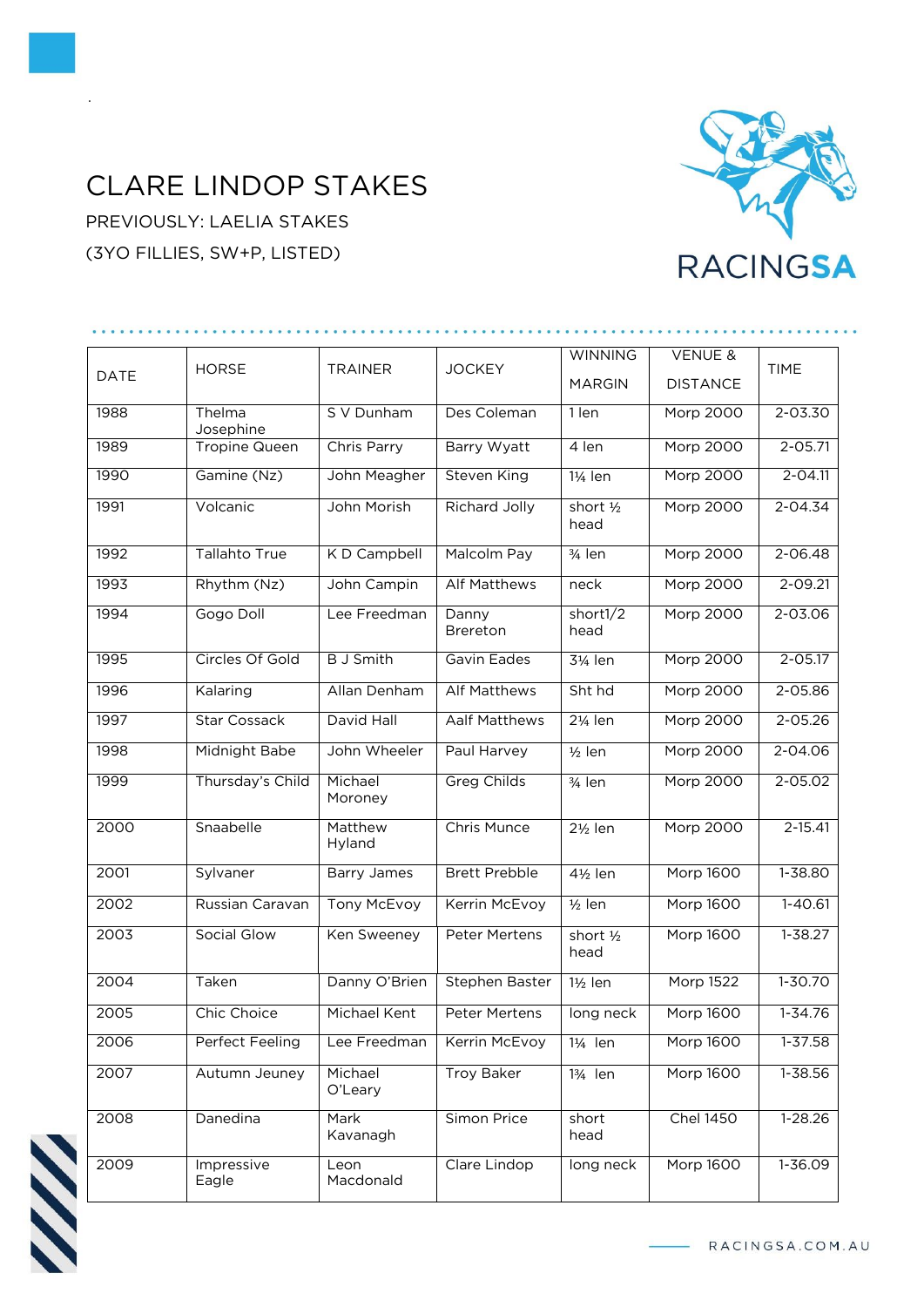## CLARE LINDOP STAKES

PREVIOUSLY: LAELIA STAKES (3YO FILLIES, SW+P, LISTED)

.



| <b>DATE</b> | <b>HORSE</b>         | <b>TRAINER</b>     | <b>JOCKEY</b>        | <b>WINNING</b>       | <b>VENUE &amp;</b> |             |
|-------------|----------------------|--------------------|----------------------|----------------------|--------------------|-------------|
|             |                      |                    |                      | <b>MARGIN</b>        | <b>DISTANCE</b>    | <b>TIME</b> |
| 1988        | Thelma<br>Josephine  | S V Dunham         | Des Coleman          | $1$ len              | <b>Morp 2000</b>   | $2 - 03.30$ |
| 1989        | <b>Tropine Queen</b> | Chris Parry        | Barry Wyatt          | 4 len                | <b>Morp 2000</b>   | $2 - 05.71$ |
| 1990        | Gamine (Nz)          | John Meagher       | <b>Steven King</b>   | 11/ <sub>4</sub> len | Morp 2000          | $2 - 04.11$ |
| 1991        | Volcanic             | John Morish        | <b>Richard Jolly</b> | short 1/2<br>head    | <b>Morp 2000</b>   | $2 - 04.34$ |
| 1992        | <b>Tallahto True</b> | K D Campbell       | <b>Malcolm Pay</b>   | 3/ <sub>4</sub> len  | <b>Morp 2000</b>   | $2 - 06.48$ |
| 1993        | $R$ hythm $(Nz)$     | John Campin        | <b>Alf Matthews</b>  | neck                 | <b>Morp 2000</b>   | $2 - 09.21$ |
| 1994        | Gogo Doll            | Lee Freedman       | Danny<br>Brereton    | short1/2<br>head     | <b>Morp 2000</b>   | $2 - 03.06$ |
| 1995        | Circles Of Gold      | <b>B</b> J Smith   | Gavin Eades          | 31/ <sub>4</sub> len | Morp 2000          | $2 - 05.17$ |
| 1996        | Kalaring             | Allan Denham       | <b>Alf Matthews</b>  | Sht hd               | <b>Morp 2000</b>   | 2-05.86     |
| 1997        | <b>Star Cossack</b>  | David Hall         | Aalf Matthews        | 21/ <sub>4</sub> len | Morp 2000          | $2 - 05.26$ |
| 1998        | <b>Midnight Babe</b> | John Wheeler       | Paul Harvey          | $\frac{1}{2}$ len    | <b>Morp 2000</b>   | 2-04.06     |
| 1999        | Thursday's Child     | Michael<br>Moroney | <b>Greg Childs</b>   | 3/ <sub>4</sub> len  | <b>Morp 2000</b>   | $2 - 05.02$ |
| 2000        | Snaabelle            | Matthew<br>Hyland  | Chris Munce          | 21/ <sub>2</sub> len | Morp 2000          | $2 - 15.41$ |
| 2001        | Sylvaner             | <b>Barry James</b> | <b>Brett Prebble</b> | $4\frac{1}{2}$ len   | <b>Morp 1600</b>   | $1 - 38.80$ |
| 2002        | Russian Caravan      | <b>Tony McEvoy</b> | Kerrin McEvoy        | $1/2$ len            | <b>Morp 1600</b>   | $1 - 40.61$ |
| 2003        | Social Glow          | Ken Sweeney        | <b>Peter Mertens</b> | short 1/2<br>head    | Morp 1600          | $1 - 38.27$ |
| 2004        | Taken                | Danny O'Brien      | Stephen Baster       | 1½ len               | <b>Morp 1522</b>   | $1 - 30.70$ |
| 2005        | Chic Choice          | Michael Kent       | Peter Mertens        | long neck            | Morp 1600          | $1 - 34.76$ |
| 2006        | Perfect Feeling      | Lee Freedman       | Kerrin McEvoy        | 11/ <sub>4</sub> len | <b>Morp 1600</b>   | 1-37.58     |
| 2007        | Autumn Jeuney        | Michael<br>O'Leary | <b>Troy Baker</b>    | 13/ <sub>4</sub> len | <b>Morp 1600</b>   | 1-38.56     |
| 2008        | Danedina             | Mark<br>Kavanagh   | Simon Price          | short<br>head        | <b>Chel 1450</b>   | $1-28.26$   |
| 2009        | Impressive<br>Eagle  | Leon<br>Macdonald  | Clare Lindop         | long neck            | <b>Morp 1600</b>   | $1 - 36.09$ |